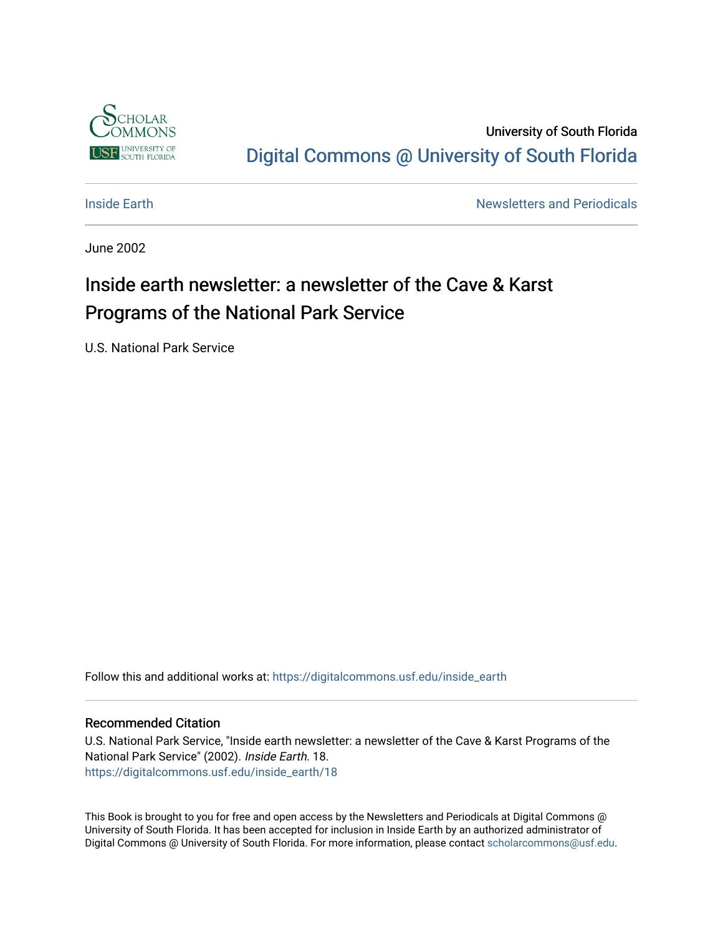

University of South Florida [Digital Commons @ University of South Florida](https://digitalcommons.usf.edu/) 

**[Inside Earth](https://digitalcommons.usf.edu/inside_earth) Inside Earth Newsletters and Periodicals** 

June 2002

## Inside earth newsletter: a newsletter of the Cave & Karst Programs of the National Park Service

U.S. National Park Service

Follow this and additional works at: [https://digitalcommons.usf.edu/inside\\_earth](https://digitalcommons.usf.edu/inside_earth?utm_source=digitalcommons.usf.edu%2Finside_earth%2F18&utm_medium=PDF&utm_campaign=PDFCoverPages)

#### Recommended Citation

U.S. National Park Service, "Inside earth newsletter: a newsletter of the Cave & Karst Programs of the National Park Service" (2002). Inside Earth. 18. [https://digitalcommons.usf.edu/inside\\_earth/18](https://digitalcommons.usf.edu/inside_earth/18?utm_source=digitalcommons.usf.edu%2Finside_earth%2F18&utm_medium=PDF&utm_campaign=PDFCoverPages) 

This Book is brought to you for free and open access by the Newsletters and Periodicals at Digital Commons @ University of South Florida. It has been accepted for inclusion in Inside Earth by an authorized administrator of Digital Commons @ University of South Florida. For more information, please contact [scholarcommons@usf.edu.](mailto:scholarcommons@usf.edu)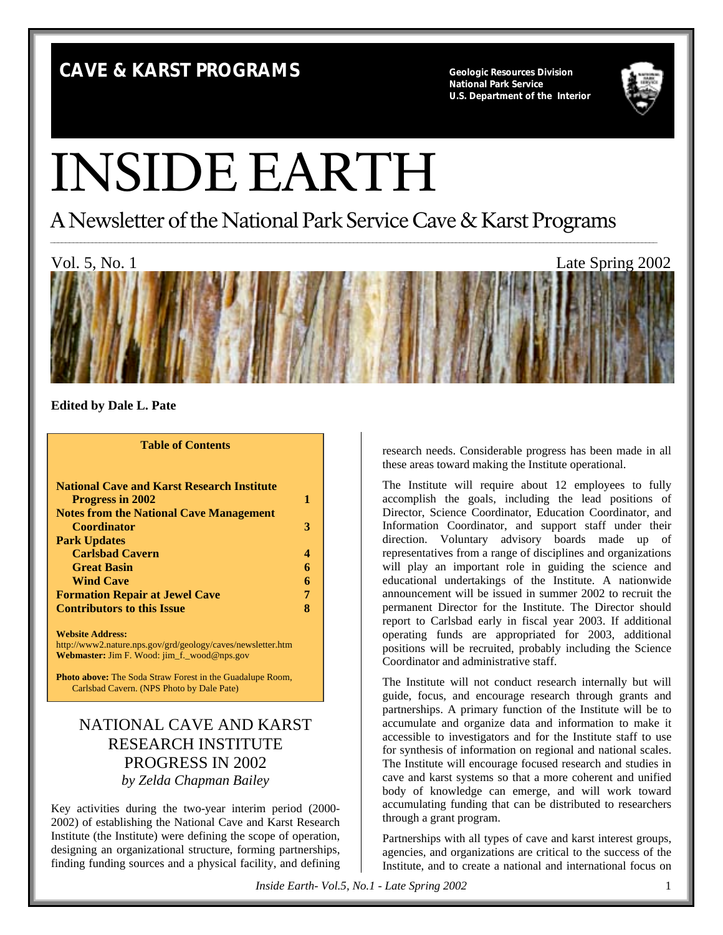## **CAVE & KARST PROGRAMS Geologic Resources Division**

**National Park Service U.S. Department of the Interior**



# INSIDE EARTH

A Newsletter of the National Park Service Cave & Karst Programs



**Edited by Dale L. Pate**

#### **Table of Contents**

| <b>National Cave and Karst Research Institute</b>           |   |
|-------------------------------------------------------------|---|
| <b>Progress in 2002</b>                                     |   |
| <b>Notes from the National Cave Management</b>              |   |
| <b>Coordinator</b>                                          | З |
| <b>Park Updates</b>                                         |   |
| <b>Carlsbad Cavern</b>                                      |   |
| <b>Great Basin</b>                                          |   |
| <b>Wind Cave</b>                                            | 6 |
| <b>Formation Repair at Jewel Cave</b>                       |   |
| <b>Contributors to this Issue</b>                           |   |
| <b>Website Address:</b>                                     |   |
| http://www2.nature.nps.gov/grd/geology/caves/newsletter.htm |   |

**Webmaster:** Jim F. Wood: jim\_f.\_wood@nps.gov

**Photo above:** The Soda Straw Forest in the Guadalupe Room, Carlsbad Cavern. (NPS Photo by Dale Pate)

## NATIONAL CAVE AND KARST RESEARCH INSTITUTE PROGRESS IN 2002 *by Zelda Chapman Bailey*

Key activities during the two-year interim period (2000- 2002) of establishing the National Cave and Karst Research Institute (the Institute) were defining the scope of operation, designing an organizational structure, forming partnerships, finding funding sources and a physical facility, and defining research needs. Considerable progress has been made in all these areas toward making the Institute operational.

The Institute will require about 12 employees to fully accomplish the goals, including the lead positions of Director, Science Coordinator, Education Coordinator, and Information Coordinator, and support staff under their direction. Voluntary advisory boards made up of representatives from a range of disciplines and organizations will play an important role in guiding the science and educational undertakings of the Institute. A nationwide announcement will be issued in summer 2002 to recruit the permanent Director for the Institute. The Director should report to Carlsbad early in fiscal year 2003. If additional operating funds are appropriated for 2003, additional positions will be recruited, probably including the Science Coordinator and administrative staff.

The Institute will not conduct research internally but will guide, focus, and encourage research through grants and partnerships. A primary function of the Institute will be to accumulate and organize data and information to make it accessible to investigators and for the Institute staff to use for synthesis of information on regional and national scales. The Institute will encourage focused research and studies in cave and karst systems so that a more coherent and unified body of knowledge can emerge, and will work toward accumulating funding that can be distributed to researchers through a grant program.

Partnerships with all types of cave and karst interest groups, agencies, and organizations are critical to the success of the Institute, and to create a national and international focus on

*Inside Earth- Vol.5, No.1 - Late Spring 2002* 1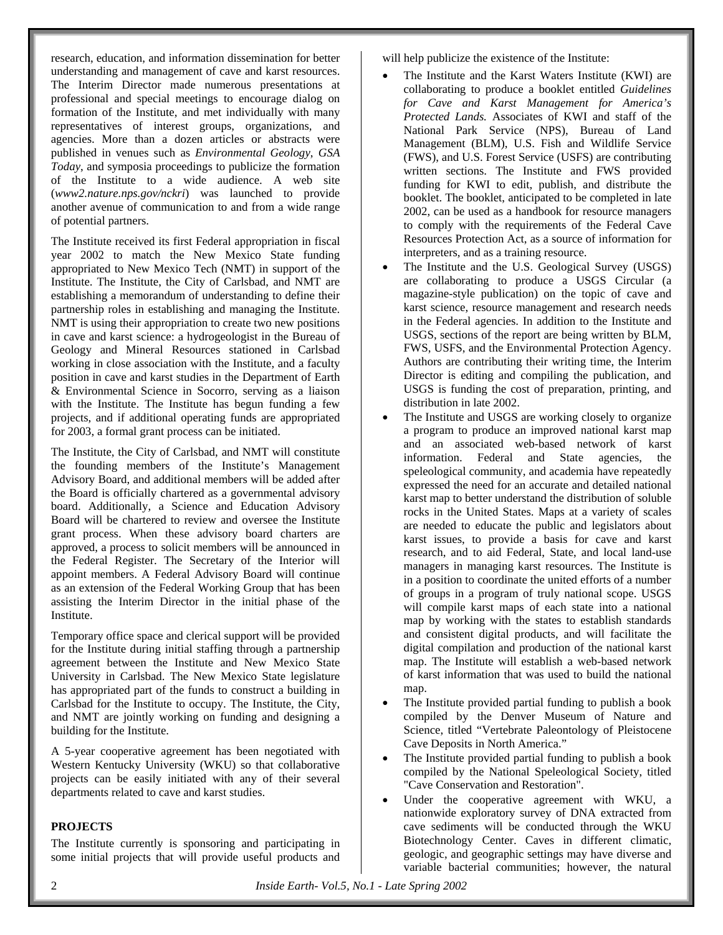research, education, and information dissemination for better understanding and management of cave and karst resources. The Interim Director made numerous presentations at professional and special meetings to encourage dialog on formation of the Institute, and met individually with many representatives of interest groups, organizations, and agencies. More than a dozen articles or abstracts were published in venues such as *Environmental Geology*, *GSA Today*, and symposia proceedings to publicize the formation of the Institute to a wide audience. A web site (*www2.nature.nps.gov/nckri*) was launched to provide another avenue of communication to and from a wide range of potential partners.

The Institute received its first Federal appropriation in fiscal year 2002 to match the New Mexico State funding appropriated to New Mexico Tech (NMT) in support of the Institute. The Institute, the City of Carlsbad, and NMT are establishing a memorandum of understanding to define their partnership roles in establishing and managing the Institute. NMT is using their appropriation to create two new positions in cave and karst science: a hydrogeologist in the Bureau of Geology and Mineral Resources stationed in Carlsbad working in close association with the Institute, and a faculty position in cave and karst studies in the Department of Earth & Environmental Science in Socorro, serving as a liaison with the Institute. The Institute has begun funding a few projects, and if additional operating funds are appropriated for 2003, a formal grant process can be initiated.

The Institute, the City of Carlsbad, and NMT will constitute the founding members of the Institute's Management Advisory Board, and additional members will be added after the Board is officially chartered as a governmental advisory board. Additionally, a Science and Education Advisory Board will be chartered to review and oversee the Institute grant process. When these advisory board charters are approved, a process to solicit members will be announced in the Federal Register. The Secretary of the Interior will appoint members. A Federal Advisory Board will continue as an extension of the Federal Working Group that has been assisting the Interim Director in the initial phase of the Institute.

Temporary office space and clerical support will be provided for the Institute during initial staffing through a partnership agreement between the Institute and New Mexico State University in Carlsbad. The New Mexico State legislature has appropriated part of the funds to construct a building in Carlsbad for the Institute to occupy. The Institute, the City, and NMT are jointly working on funding and designing a building for the Institute.

A 5-year cooperative agreement has been negotiated with Western Kentucky University (WKU) so that collaborative projects can be easily initiated with any of their several departments related to cave and karst studies.

#### **PROJECTS**

The Institute currently is sponsoring and participating in some initial projects that will provide useful products and

will help publicize the existence of the Institute:

- The Institute and the Karst Waters Institute (KWI) are collaborating to produce a booklet entitled *Guidelines for Cave and Karst Management for America's Protected Lands.* Associates of KWI and staff of the National Park Service (NPS), Bureau of Land Management (BLM), U.S. Fish and Wildlife Service (FWS), and U.S. Forest Service (USFS) are contributing written sections. The Institute and FWS provided funding for KWI to edit, publish, and distribute the booklet. The booklet, anticipated to be completed in late 2002, can be used as a handbook for resource managers to comply with the requirements of the Federal Cave Resources Protection Act, as a source of information for interpreters, and as a training resource.
- The Institute and the U.S. Geological Survey (USGS) are collaborating to produce a USGS Circular (a magazine-style publication) on the topic of cave and karst science, resource management and research needs in the Federal agencies. In addition to the Institute and USGS, sections of the report are being written by BLM, FWS, USFS, and the Environmental Protection Agency. Authors are contributing their writing time, the Interim Director is editing and compiling the publication, and USGS is funding the cost of preparation, printing, and distribution in late 2002.
- The Institute and USGS are working closely to organize a program to produce an improved national karst map and an associated web-based network of karst information. Federal and State agencies, the speleological community, and academia have repeatedly expressed the need for an accurate and detailed national karst map to better understand the distribution of soluble rocks in the United States. Maps at a variety of scales are needed to educate the public and legislators about karst issues, to provide a basis for cave and karst research, and to aid Federal, State, and local land-use managers in managing karst resources. The Institute is in a position to coordinate the united efforts of a number of groups in a program of truly national scope. USGS will compile karst maps of each state into a national map by working with the states to establish standards and consistent digital products, and will facilitate the digital compilation and production of the national karst map. The Institute will establish a web-based network of karst information that was used to build the national map.
- The Institute provided partial funding to publish a book compiled by the Denver Museum of Nature and Science, titled "Vertebrate Paleontology of Pleistocene Cave Deposits in North America."
- The Institute provided partial funding to publish a book compiled by the National Speleological Society, titled "Cave Conservation and Restoration".
- Under the cooperative agreement with WKU, a nationwide exploratory survey of DNA extracted from cave sediments will be conducted through the WKU Biotechnology Center. Caves in different climatic, geologic, and geographic settings may have diverse and variable bacterial communities; however, the natural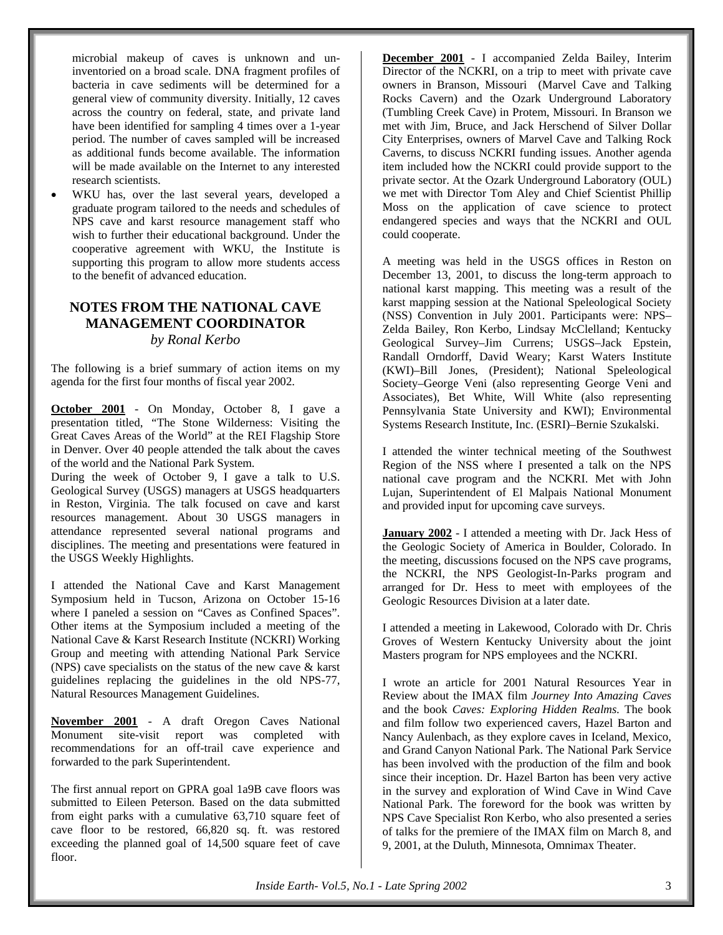microbial makeup of caves is unknown and uninventoried on a broad scale. DNA fragment profiles of bacteria in cave sediments will be determined for a general view of community diversity. Initially, 12 caves across the country on federal, state, and private land have been identified for sampling 4 times over a 1-year period. The number of caves sampled will be increased as additional funds become available. The information will be made available on the Internet to any interested research scientists.

WKU has, over the last several years, developed a graduate program tailored to the needs and schedules of NPS cave and karst resource management staff who wish to further their educational background. Under the cooperative agreement with WKU, the Institute is supporting this program to allow more students access to the benefit of advanced education.

#### **NOTES FROM THE NATIONAL CAVE MANAGEMENT COORDINATOR** *by Ronal Kerbo*

The following is a brief summary of action items on my agenda for the first four months of fiscal year 2002.

**October 2001** - On Monday, October 8, I gave a presentation titled, *"*The Stone Wilderness: Visiting the Great Caves Areas of the World" at the REI Flagship Store in Denver. Over 40 people attended the talk about the caves of the world and the National Park System.

During the week of October 9, I gave a talk to U.S. Geological Survey (USGS) managers at USGS headquarters in Reston, Virginia. The talk focused on cave and karst resources management. About 30 USGS managers in attendance represented several national programs and disciplines. The meeting and presentations were featured in the USGS Weekly Highlights.

I attended the National Cave and Karst Management Symposium held in Tucson, Arizona on October 15-16 where I paneled a session on "Caves as Confined Spaces". Other items at the Symposium included a meeting of the National Cave & Karst Research Institute (NCKRI) Working Group and meeting with attending National Park Service (NPS) cave specialists on the status of the new cave & karst guidelines replacing the guidelines in the old NPS-77, Natural Resources Management Guidelines.

**November 2001** - A draft Oregon Caves National Monument site-visit report was completed with recommendations for an off-trail cave experience and forwarded to the park Superintendent.

The first annual report on GPRA goal 1a9B cave floors was submitted to Eileen Peterson. Based on the data submitted from eight parks with a cumulative 63,710 square feet of cave floor to be restored, 66,820 sq. ft. was restored exceeding the planned goal of 14,500 square feet of cave floor.

**December 2001** - I accompanied Zelda Bailey, Interim Director of the NCKRI, on a trip to meet with private cave owners in Branson, Missouri (Marvel Cave and Talking Rocks Cavern) and the Ozark Underground Laboratory (Tumbling Creek Cave) in Protem, Missouri. In Branson we met with Jim, Bruce, and Jack Herschend of Silver Dollar City Enterprises, owners of Marvel Cave and Talking Rock Caverns, to discuss NCKRI funding issues. Another agenda item included how the NCKRI could provide support to the private sector. At the Ozark Underground Laboratory (OUL) we met with Director Tom Aley and Chief Scientist Phillip Moss on the application of cave science to protect endangered species and ways that the NCKRI and OUL could cooperate.

A meeting was held in the USGS offices in Reston on December 13, 2001, to discuss the long-term approach to national karst mapping. This meeting was a result of the karst mapping session at the National Speleological Society (NSS) Convention in July 2001. Participants were: NPS– Zelda Bailey, Ron Kerbo, Lindsay McClelland; Kentucky Geological Survey–Jim Currens; USGS–Jack Epstein, Randall Orndorff, David Weary; Karst Waters Institute (KWI)–Bill Jones, (President); National Speleological Society–George Veni (also representing George Veni and Associates), Bet White, Will White (also representing Pennsylvania State University and KWI); Environmental Systems Research Institute, Inc. (ESRI)–Bernie Szukalski.

I attended the winter technical meeting of the Southwest Region of the NSS where I presented a talk on the NPS national cave program and the NCKRI. Met with John Lujan, Superintendent of El Malpais National Monument and provided input for upcoming cave surveys.

**January 2002** - I attended a meeting with Dr. Jack Hess of the Geologic Society of America in Boulder, Colorado. In the meeting, discussions focused on the NPS cave programs, the NCKRI, the NPS Geologist-In-Parks program and arranged for Dr. Hess to meet with employees of the Geologic Resources Division at a later date.

I attended a meeting in Lakewood, Colorado with Dr. Chris Groves of Western Kentucky University about the joint Masters program for NPS employees and the NCKRI.

I wrote an article for 2001 Natural Resources Year in Review about the IMAX film *Journey Into Amazing Caves* and the book *Caves: Exploring Hidden Realms.* The book and film follow two experienced cavers, Hazel Barton and Nancy Aulenbach, as they explore caves in Iceland, Mexico, and Grand Canyon National Park. The National Park Service has been involved with the production of the film and book since their inception. Dr. Hazel Barton has been very active in the survey and exploration of Wind Cave in Wind Cave National Park. The foreword for the book was written by NPS Cave Specialist Ron Kerbo, who also presented a series of talks for the premiere of the IMAX film on March 8, and 9, 2001, at the Duluth, Minnesota, Omnimax Theater.

*Inside Earth- Vol.5, No.1 - Late Spring 2002* 3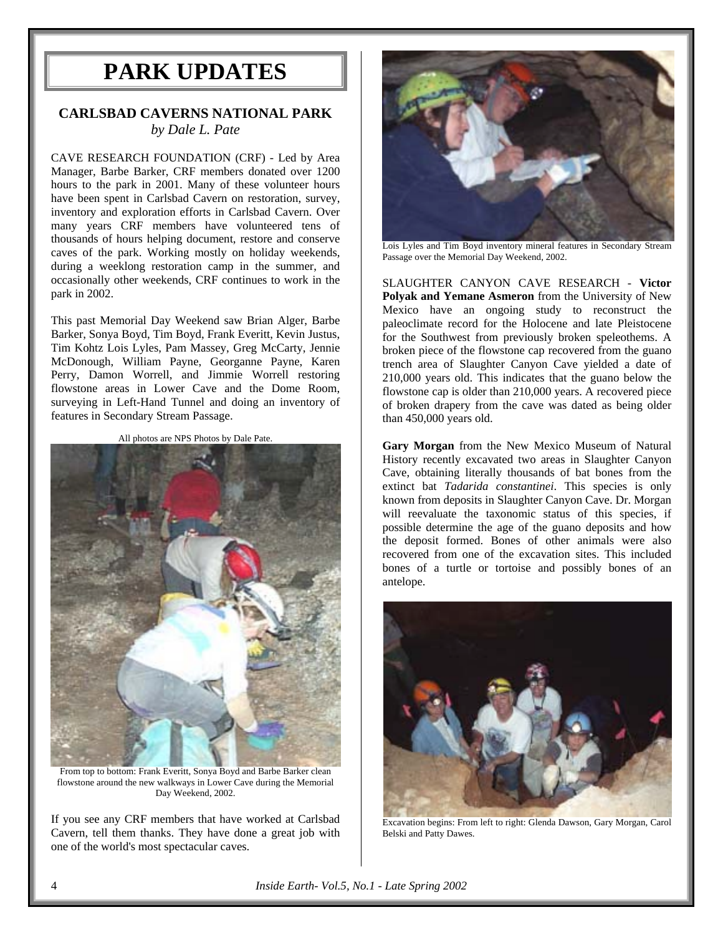## **PARK UPDATES**

## **CARLSBAD CAVERNS NATIONAL PARK** *by Dale L. Pate*

CAVE RESEARCH FOUNDATION (CRF) - Led by Area Manager, Barbe Barker, CRF members donated over 1200 hours to the park in 2001. Many of these volunteer hours have been spent in Carlsbad Cavern on restoration, survey, inventory and exploration efforts in Carlsbad Cavern. Over many years CRF members have volunteered tens of thousands of hours helping document, restore and conserve caves of the park. Working mostly on holiday weekends, during a weeklong restoration camp in the summer, and occasionally other weekends, CRF continues to work in the park in 2002.

This past Memorial Day Weekend saw Brian Alger, Barbe Barker, Sonya Boyd, Tim Boyd, Frank Everitt, Kevin Justus, Tim Kohtz Lois Lyles, Pam Massey, Greg McCarty, Jennie McDonough, William Payne, Georganne Payne, Karen Perry, Damon Worrell, and Jimmie Worrell restoring flowstone areas in Lower Cave and the Dome Room, surveying in Left-Hand Tunnel and doing an inventory of features in Secondary Stream Passage.

All photos are NPS Photos by Dale Pate.



From top to bottom: Frank Everitt, Sonya Boyd and Barbe Barker clean flowstone around the new walkways in Lower Cave during the Memorial Day Weekend, 2002.

If you see any CRF members that have worked at Carlsbad Cavern, tell them thanks. They have done a great job with one of the world's most spectacular caves.



Lois Lyles and Tim Boyd inventory mineral features in Secondary Stream Passage over the Memorial Day Weekend, 2002.

SLAUGHTER CANYON CAVE RESEARCH - **Victor Polyak and Yemane Asmeron** from the University of New Mexico have an ongoing study to reconstruct the paleoclimate record for the Holocene and late Pleistocene for the Southwest from previously broken speleothems. A broken piece of the flowstone cap recovered from the guano trench area of Slaughter Canyon Cave yielded a date of 210,000 years old. This indicates that the guano below the flowstone cap is older than 210,000 years. A recovered piece of broken drapery from the cave was dated as being older than 450,000 years old.

**Gary Morgan** from the New Mexico Museum of Natural History recently excavated two areas in Slaughter Canyon Cave, obtaining literally thousands of bat bones from the extinct bat *Tadarida constantinei*. This species is only known from deposits in Slaughter Canyon Cave. Dr. Morgan will reevaluate the taxonomic status of this species, if possible determine the age of the guano deposits and how the deposit formed. Bones of other animals were also recovered from one of the excavation sites. This included bones of a turtle or tortoise and possibly bones of an antelope.



Excavation begins: From left to right: Glenda Dawson, Gary Morgan, Carol Belski and Patty Dawes.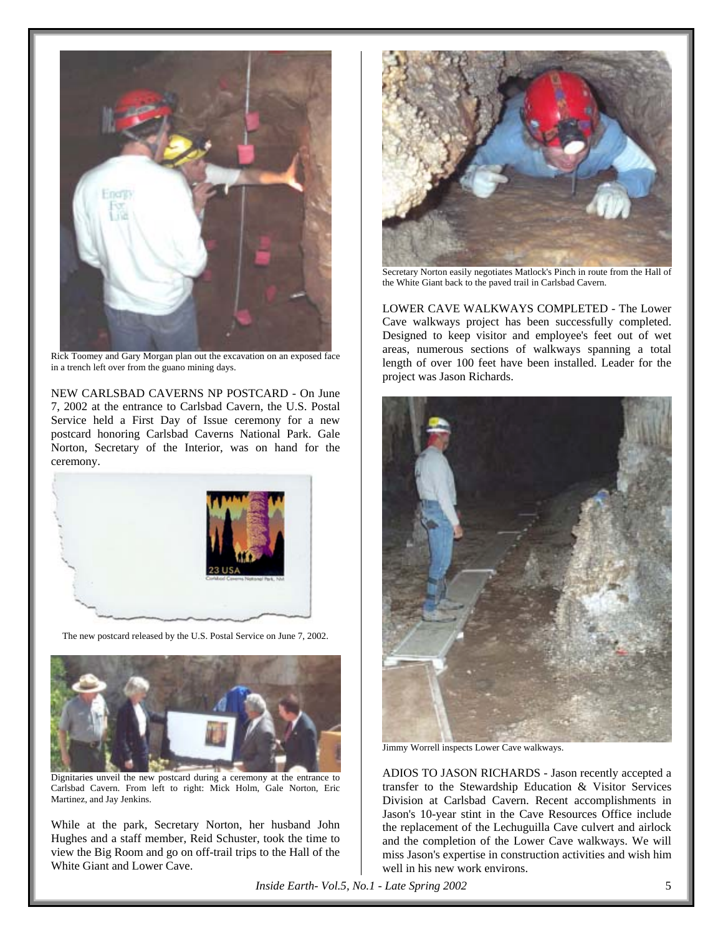

Rick Toomey and Gary Morgan plan out the excavation on an exposed face in a trench left over from the guano mining days.

NEW CARLSBAD CAVERNS NP POSTCARD - On June 7, 2002 at the entrance to Carlsbad Cavern, the U.S. Postal Service held a First Day of Issue ceremony for a new postcard honoring Carlsbad Caverns National Park. Gale Norton, Secretary of the Interior, was on hand for the ceremony.



The new postcard released by the U.S. Postal Service on June 7, 2002.



Dignitaries unveil the new postcard during a ceremony at the entrance to Carlsbad Cavern. From left to right: Mick Holm, Gale Norton, Eric Martinez, and Jay Jenkins.

While at the park, Secretary Norton, her husband John Hughes and a staff member, Reid Schuster, took the time to view the Big Room and go on off-trail trips to the Hall of the White Giant and Lower Cave.



Secretary Norton easily negotiates Matlock's Pinch in route from the Hall of the White Giant back to the paved trail in Carlsbad Cavern.

LOWER CAVE WALKWAYS COMPLETED - The Lower Cave walkways project has been successfully completed. Designed to keep visitor and employee's feet out of wet areas, numerous sections of walkways spanning a total length of over 100 feet have been installed. Leader for the project was Jason Richards.



Jimmy Worrell inspects Lower Cave walkways.

ADIOS TO JASON RICHARDS - Jason recently accepted a transfer to the Stewardship Education & Visitor Services Division at Carlsbad Cavern. Recent accomplishments in Jason's 10-year stint in the Cave Resources Office include the replacement of the Lechuguilla Cave culvert and airlock and the completion of the Lower Cave walkways. We will miss Jason's expertise in construction activities and wish him well in his new work environs.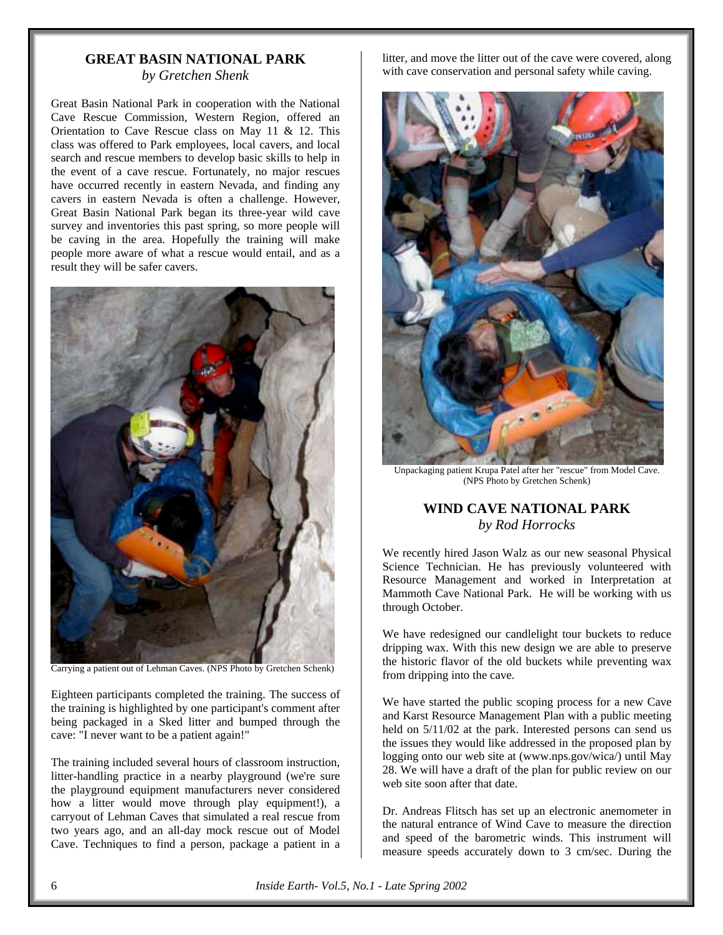## **GREAT BASIN NATIONAL PARK**

*by Gretchen Shenk*

Great Basin National Park in cooperation with the National Cave Rescue Commission, Western Region, offered an Orientation to Cave Rescue class on May 11 & 12. This class was offered to Park employees, local cavers, and local search and rescue members to develop basic skills to help in the event of a cave rescue. Fortunately, no major rescues have occurred recently in eastern Nevada, and finding any cavers in eastern Nevada is often a challenge. However, Great Basin National Park began its three-year wild cave survey and inventories this past spring, so more people will be caving in the area. Hopefully the training will make people more aware of what a rescue would entail, and as a result they will be safer cavers.



Carrying a patient out of Lehman Caves. (NPS Photo by Gretchen Schenk)

Eighteen participants completed the training. The success of the training is highlighted by one participant's comment after being packaged in a Sked litter and bumped through the cave: "I never want to be a patient again!"

The training included several hours of classroom instruction, litter-handling practice in a nearby playground (we're sure the playground equipment manufacturers never considered how a litter would move through play equipment!), a carryout of Lehman Caves that simulated a real rescue from two years ago, and an all-day mock rescue out of Model Cave. Techniques to find a person, package a patient in a

litter, and move the litter out of the cave were covered, along with cave conservation and personal safety while caving.



Unpackaging patient Krupa Patel after her "rescue" from Model Cave. (NPS Photo by Gretchen Schenk)

## **WIND CAVE NATIONAL PARK** *by Rod Horrocks*

We recently hired Jason Walz as our new seasonal Physical Science Technician. He has previously volunteered with Resource Management and worked in Interpretation at Mammoth Cave National Park. He will be working with us through October.

We have redesigned our candlelight tour buckets to reduce dripping wax. With this new design we are able to preserve the historic flavor of the old buckets while preventing wax from dripping into the cave.

We have started the public scoping process for a new Cave and Karst Resource Management Plan with a public meeting held on  $5/11/02$  at the park. Interested persons can send us the issues they would like addressed in the proposed plan by logging onto our web site at (www.nps.gov/wica/) until May 28. We will have a draft of the plan for public review on our web site soon after that date.

Dr. Andreas Flitsch has set up an electronic anemometer in the natural entrance of Wind Cave to measure the direction and speed of the barometric winds. This instrument will measure speeds accurately down to 3 cm/sec. During the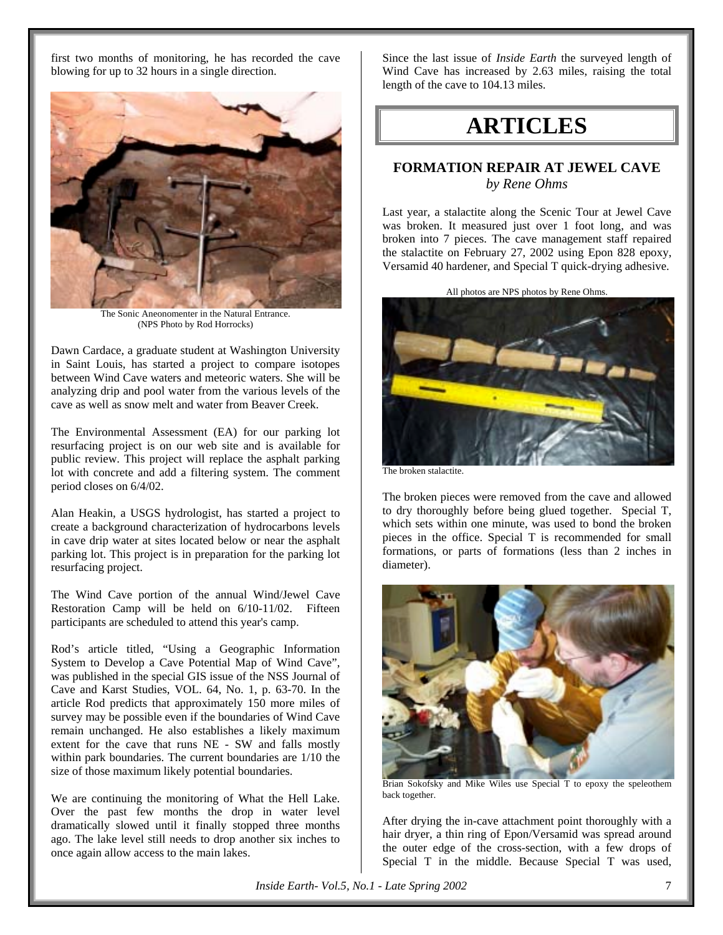first two months of monitoring, he has recorded the cave blowing for up to 32 hours in a single direction.



The Sonic Aneonomenter in the Natural Entrance. (NPS Photo by Rod Horrocks)

Dawn Cardace, a graduate student at Washington University in Saint Louis, has started a project to compare isotopes between Wind Cave waters and meteoric waters. She will be analyzing drip and pool water from the various levels of the cave as well as snow melt and water from Beaver Creek.

The Environmental Assessment (EA) for our parking lot resurfacing project is on our web site and is available for public review. This project will replace the asphalt parking lot with concrete and add a filtering system. The comment period closes on 6/4/02.

Alan Heakin, a USGS hydrologist, has started a project to create a background characterization of hydrocarbons levels in cave drip water at sites located below or near the asphalt parking lot. This project is in preparation for the parking lot resurfacing project.

The Wind Cave portion of the annual Wind/Jewel Cave Restoration Camp will be held on 6/10-11/02. Fifteen participants are scheduled to attend this year's camp.

Rod's article titled, "Using a Geographic Information System to Develop a Cave Potential Map of Wind Cave", was published in the special GIS issue of the NSS Journal of Cave and Karst Studies, VOL. 64, No. 1, p. 63-70. In the article Rod predicts that approximately 150 more miles of survey may be possible even if the boundaries of Wind Cave remain unchanged. He also establishes a likely maximum extent for the cave that runs NE - SW and falls mostly within park boundaries. The current boundaries are 1/10 the size of those maximum likely potential boundaries.

We are continuing the monitoring of What the Hell Lake. Over the past few months the drop in water level dramatically slowed until it finally stopped three months ago. The lake level still needs to drop another six inches to once again allow access to the main lakes.

Since the last issue of *Inside Earth* the surveyed length of Wind Cave has increased by 2.63 miles, raising the total length of the cave to 104.13 miles.

## **ARTICLES**

## **FORMATION REPAIR AT JEWEL CAVE** *by Rene Ohms*

Last year, a stalactite along the Scenic Tour at Jewel Cave was broken. It measured just over 1 foot long, and was broken into 7 pieces. The cave management staff repaired the stalactite on February 27, 2002 using Epon 828 epoxy, Versamid 40 hardener, and Special T quick-drying adhesive.



The broken stalactite.

The broken pieces were removed from the cave and allowed to dry thoroughly before being glued together. Special T, which sets within one minute, was used to bond the broken pieces in the office. Special T is recommended for small formations, or parts of formations (less than 2 inches in diameter).



Brian Sokofsky and Mike Wiles use Special T to epoxy the speleothem back together.

After drying the in-cave attachment point thoroughly with a hair dryer, a thin ring of Epon/Versamid was spread around the outer edge of the cross-section, with a few drops of Special T in the middle. Because Special T was used,

*Inside Earth- Vol.5, No.1 - Late Spring 2002* 7